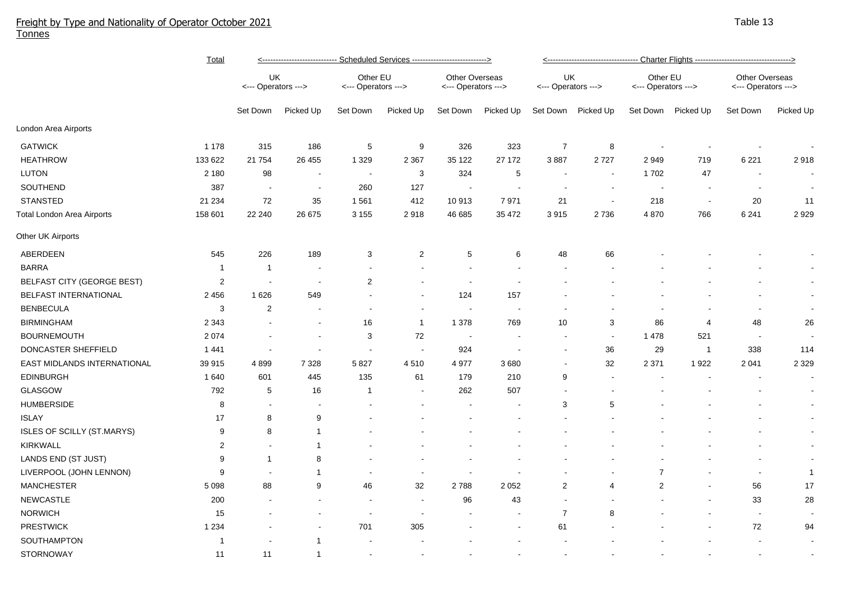## Freight by Type and Nationality of Operator October 2021 Tonnes

|                                   | <b>Total</b>   | <--------------------------- Scheduled Services ---------------------------> |                          |                                 |                |                                       |                          | <---------------------------------- Charter Flights -----------------------------------> |                          |                                 |                |                                              |              |  |
|-----------------------------------|----------------|------------------------------------------------------------------------------|--------------------------|---------------------------------|----------------|---------------------------------------|--------------------------|------------------------------------------------------------------------------------------|--------------------------|---------------------------------|----------------|----------------------------------------------|--------------|--|
|                                   |                | UK<br><--- Operators --->                                                    |                          | Other EU<br><--- Operators ---> |                | Other Overseas<br><--- Operators ---> |                          | UK<br><--- Operators --->                                                                |                          | Other EU<br><--- Operators ---> |                | <b>Other Overseas</b><br><--- Operators ---> |              |  |
|                                   |                | Set Down                                                                     | Picked Up                | Set Down                        | Picked Up      | Set Down                              | Picked Up                | Set Down                                                                                 | Picked Up                | Set Down                        | Picked Up      | Set Down                                     | Picked Up    |  |
| London Area Airports              |                |                                                                              |                          |                                 |                |                                       |                          |                                                                                          |                          |                                 |                |                                              |              |  |
| <b>GATWICK</b>                    | 1 1 7 8        | 315                                                                          | 186                      | 5                               | 9              | 326                                   | 323                      | $\overline{7}$                                                                           | 8                        |                                 |                |                                              |              |  |
| <b>HEATHROW</b>                   | 133 622        | 21 754                                                                       | 26 455                   | 1 3 2 9                         | 2 3 6 7        | 35 122                                | 27 172                   | 3887                                                                                     | 2727                     | 2949                            | 719            | 6 2 2 1                                      | 2918         |  |
| <b>LUTON</b>                      | 2 1 8 0        | 98                                                                           | $\blacksquare$           | $\overline{\phantom{a}}$        | 3              | 324                                   | 5                        | $\overline{\phantom{a}}$                                                                 | $\blacksquare$           | 1702                            | 47             |                                              |              |  |
| SOUTHEND                          | 387            | $\sim$                                                                       | $\overline{\phantom{a}}$ | 260                             | 127            |                                       |                          |                                                                                          |                          |                                 |                | $\overline{\phantom{a}}$                     | $\sim$       |  |
| <b>STANSTED</b>                   | 21 234         | 72                                                                           | 35                       | 1 5 6 1                         | 412            | 10 913                                | 7971                     | 21                                                                                       | $\overline{\phantom{a}}$ | 218                             | $\sim$         | 20                                           | 11           |  |
| <b>Total London Area Airports</b> | 158 601        | 22 240                                                                       | 26 675                   | 3 1 5 5                         | 2918           | 46 685                                | 35 472                   | 3915                                                                                     | 2736                     | 4 8 7 0                         | 766            | 6 2 4 1                                      | 2929         |  |
| Other UK Airports                 |                |                                                                              |                          |                                 |                |                                       |                          |                                                                                          |                          |                                 |                |                                              |              |  |
| ABERDEEN                          | 545            | 226                                                                          | 189                      | 3                               | $\overline{2}$ | 5                                     | 6                        | 48                                                                                       | 66                       |                                 |                |                                              |              |  |
| <b>BARRA</b>                      | $\overline{1}$ | $\mathbf{1}$                                                                 |                          |                                 |                |                                       |                          |                                                                                          |                          |                                 |                |                                              |              |  |
| BELFAST CITY (GEORGE BEST)        | $\overline{c}$ |                                                                              |                          | 2                               |                |                                       |                          |                                                                                          |                          |                                 |                |                                              | $\sim$       |  |
| BELFAST INTERNATIONAL             | 2 4 5 6        | 1626                                                                         | 549                      |                                 |                | 124                                   | 157                      |                                                                                          |                          |                                 |                |                                              | $\sim$       |  |
| <b>BENBECULA</b>                  | 3              | $\boldsymbol{2}$                                                             |                          |                                 |                |                                       |                          |                                                                                          |                          |                                 |                |                                              | $\sim$       |  |
| <b>BIRMINGHAM</b>                 | 2 3 4 3        |                                                                              |                          | 16                              | $\mathbf{1}$   | 1 3 7 8                               | 769                      | 10                                                                                       | 3                        | 86                              | $\overline{4}$ | 48                                           | 26           |  |
| <b>BOURNEMOUTH</b>                | 2 0 7 4        |                                                                              |                          | 3                               | 72             | $\sim$                                |                          | $\overline{\phantom{a}}$                                                                 | $\blacksquare$           | 1478                            | 521            | $\blacksquare$                               |              |  |
| DONCASTER SHEFFIELD               | 1441           |                                                                              | $\overline{\phantom{a}}$ | $\blacksquare$                  |                | 924                                   | $\overline{\phantom{a}}$ |                                                                                          | 36                       | 29                              | $\overline{1}$ | 338                                          | 114          |  |
| EAST MIDLANDS INTERNATIONAL       | 39 915         | 4899                                                                         | 7 3 2 8                  | 5 8 2 7                         | 4510           | 4977                                  | 3680                     |                                                                                          | 32                       | 2 3 7 1                         | 1922           | 2 0 4 1                                      | 2 3 2 9      |  |
| <b>EDINBURGH</b>                  | 1640           | 601                                                                          | 445                      | 135                             | 61             | 179                                   | 210                      | 9                                                                                        | $\blacksquare$           |                                 |                | $\blacksquare$                               | $\sim$       |  |
| <b>GLASGOW</b>                    | 792            | 5                                                                            | 16                       | -1                              |                | 262                                   | 507                      |                                                                                          |                          |                                 |                |                                              | $\sim$       |  |
| <b>HUMBERSIDE</b>                 | 8              |                                                                              |                          |                                 |                |                                       |                          | 3                                                                                        | 5                        |                                 |                |                                              | $\sim$       |  |
| <b>ISLAY</b>                      | 17             | 8                                                                            | 9                        |                                 |                |                                       |                          |                                                                                          |                          |                                 |                |                                              | $\sim$       |  |
| <b>ISLES OF SCILLY (ST.MARYS)</b> | 9              | 8                                                                            | $\mathbf{1}$             |                                 |                |                                       |                          |                                                                                          |                          |                                 |                |                                              | $\sim$       |  |
| KIRKWALL                          | $\overline{c}$ |                                                                              | $\mathbf{1}$             |                                 |                |                                       |                          |                                                                                          |                          |                                 |                |                                              | $\sim$       |  |
| LANDS END (ST JUST)               | 9              | $\mathbf{1}$                                                                 | 8                        |                                 |                |                                       |                          |                                                                                          |                          |                                 |                |                                              | $\sim$       |  |
| LIVERPOOL (JOHN LENNON)           | 9              |                                                                              | $\mathbf{1}$             |                                 |                |                                       |                          |                                                                                          |                          | $\overline{7}$                  |                | $\sim$                                       | $\mathbf{1}$ |  |
| <b>MANCHESTER</b>                 | 5 0 9 8        | 88                                                                           | 9                        | 46                              | 32             | 2788                                  | 2 0 5 2                  | 2                                                                                        | 4                        | 2                               | ÷,             | 56                                           | 17           |  |
| NEWCASTLE                         | 200            |                                                                              |                          |                                 |                | 96                                    | 43                       | $\overline{\phantom{a}}$                                                                 |                          |                                 |                | 33                                           | 28           |  |
| <b>NORWICH</b>                    | 15             |                                                                              |                          |                                 |                |                                       |                          | $\overline{7}$                                                                           | 8                        |                                 |                | $\blacksquare$                               |              |  |
| <b>PRESTWICK</b>                  | 1 2 3 4        |                                                                              |                          | 701                             | 305            |                                       |                          | 61                                                                                       |                          |                                 |                | $72\,$                                       | 94           |  |
| SOUTHAMPTON                       | -1             |                                                                              | -1                       |                                 |                |                                       |                          |                                                                                          |                          |                                 |                |                                              |              |  |
| STORNOWAY                         | 11             | 11                                                                           | $\mathbf{1}$             | $\blacksquare$                  |                |                                       |                          |                                                                                          |                          |                                 |                |                                              |              |  |